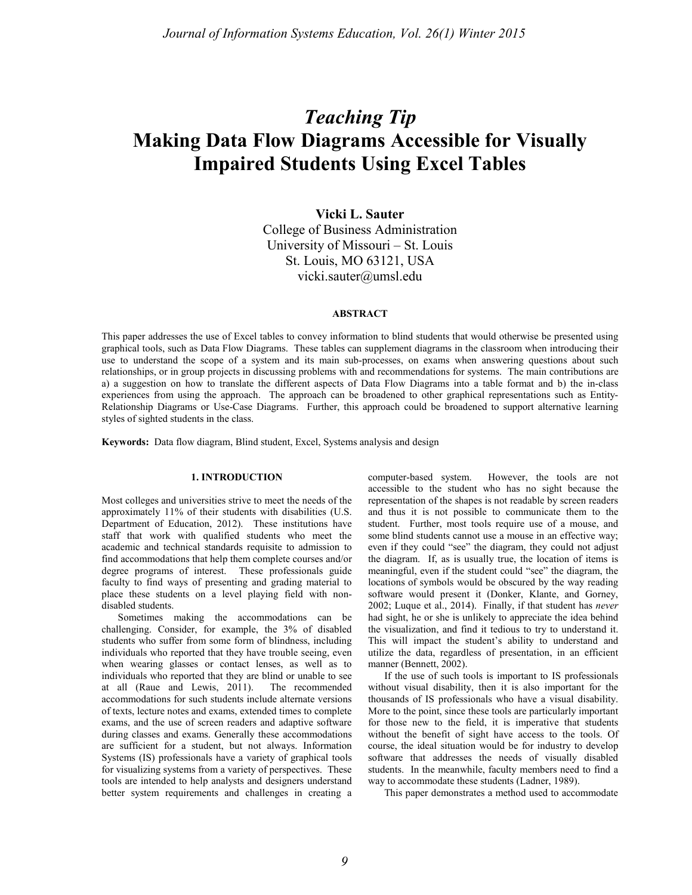# *Teaching Tip* **Making Data Flow Diagrams Accessible for Visually Impaired Students Using Excel Tables**

**Vicki L. Sauter** College of Business Administration University of Missouri – St. Louis St. Louis, MO 63121, USA vicki.sauter@umsl.edu

# **ABSTRACT**

This paper addresses the use of Excel tables to convey information to blind students that would otherwise be presented using graphical tools, such as Data Flow Diagrams. These tables can supplement diagrams in the classroom when introducing their use to understand the scope of a system and its main sub-processes, on exams when answering questions about such relationships, or in group projects in discussing problems with and recommendations for systems. The main contributions are a) a suggestion on how to translate the different aspects of Data Flow Diagrams into a table format and b) the in-class experiences from using the approach. The approach can be broadened to other graphical representations such as Entity-Relationship Diagrams or Use-Case Diagrams. Further, this approach could be broadened to support alternative learning styles of sighted students in the class.

**Keywords:** Data flow diagram, Blind student, Excel, Systems analysis and design

### **1. INTRODUCTION**

Most colleges and universities strive to meet the needs of the approximately 11% of their students with disabilities (U.S. Department of Education, 2012). These institutions have staff that work with qualified students who meet the academic and technical standards requisite to admission to find accommodations that help them complete courses and/or degree programs of interest. These professionals guide faculty to find ways of presenting and grading material to place these students on a level playing field with nondisabled students.

Sometimes making the accommodations can be challenging. Consider, for example, the 3% of disabled students who suffer from some form of blindness, including individuals who reported that they have trouble seeing, even when wearing glasses or contact lenses, as well as to individuals who reported that they are blind or unable to see at all (Raue and Lewis, 2011). The recommended accommodations for such students include alternate versions of texts, lecture notes and exams, extended times to complete exams, and the use of screen readers and adaptive software during classes and exams. Generally these accommodations are sufficient for a student, but not always. Information Systems (IS) professionals have a variety of graphical tools for visualizing systems from a variety of perspectives. These tools are intended to help analysts and designers understand better system requirements and challenges in creating a

computer-based system. However, the tools are not accessible to the student who has no sight because the representation of the shapes is not readable by screen readers and thus it is not possible to communicate them to the student. Further, most tools require use of a mouse, and some blind students cannot use a mouse in an effective way; even if they could "see" the diagram, they could not adjust the diagram. If, as is usually true, the location of items is meaningful, even if the student could "see" the diagram, the locations of symbols would be obscured by the way reading software would present it (Donker, Klante, and Gorney, 2002; Luque et al., 2014). Finally, if that student has *never* had sight, he or she is unlikely to appreciate the idea behind the visualization, and find it tedious to try to understand it. This will impact the student's ability to understand and utilize the data, regardless of presentation, in an efficient manner (Bennett, 2002).

If the use of such tools is important to IS professionals without visual disability, then it is also important for the thousands of IS professionals who have a visual disability. More to the point, since these tools are particularly important for those new to the field, it is imperative that students without the benefit of sight have access to the tools. Of course, the ideal situation would be for industry to develop software that addresses the needs of visually disabled students. In the meanwhile, faculty members need to find a way to accommodate these students (Ladner, 1989).

This paper demonstrates a method used to accommodate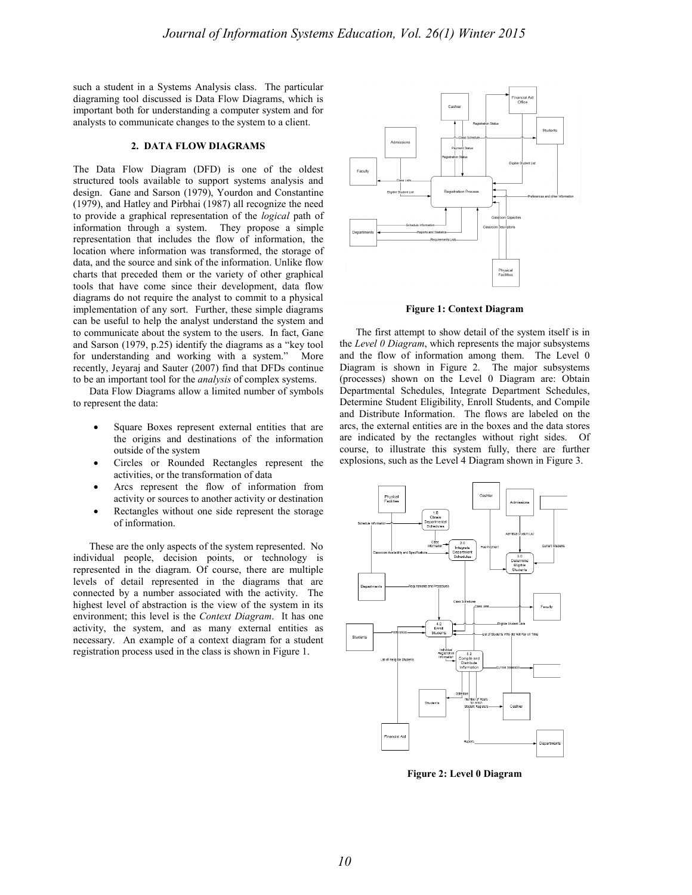such a student in a Systems Analysis class. The particular diagraming tool discussed is Data Flow Diagrams, which is important both for understanding a computer system and for analysts to communicate changes to the system to a client.

#### **2. DATA FLOW DIAGRAMS**

The Data Flow Diagram (DFD) is one of the oldest structured tools available to support systems analysis and design. Gane and Sarson (1979), Yourdon and Constantine (1979), and Hatley and Pirbhai (1987) all recognize the need to provide a graphical representation of the *logical* path of information through a system. They propose a simple representation that includes the flow of information, the location where information was transformed, the storage of data, and the source and sink of the information. Unlike flow charts that preceded them or the variety of other graphical tools that have come since their development, data flow diagrams do not require the analyst to commit to a physical implementation of any sort. Further, these simple diagrams can be useful to help the analyst understand the system and to communicate about the system to the users. In fact, Gane and Sarson (1979, p.25) identify the diagrams as a "key tool for understanding and working with a system." More recently, Jeyaraj and Sauter (2007) find that DFDs continue to be an important tool for the *analysis* of complex systems.

Data Flow Diagrams allow a limited number of symbols to represent the data:

- Square Boxes represent external entities that are the origins and destinations of the information outside of the system
- Circles or Rounded Rectangles represent the activities, or the transformation of data
- Arcs represent the flow of information from activity or sources to another activity or destination
- Rectangles without one side represent the storage of information.

These are the only aspects of the system represented. No individual people, decision points, or technology is represented in the diagram. Of course, there are multiple levels of detail represented in the diagrams that are connected by a number associated with the activity. The highest level of abstraction is the view of the system in its environment; this level is the *Context Diagram*. It has one activity, the system, and as many external entities as necessary. An example of a context diagram for a student registration process used in the class is shown in Figure 1.



**Figure 1: Context Diagram**

The first attempt to show detail of the system itself is in the *Level 0 Diagram*, which represents the major subsystems and the flow of information among them. The Level 0 Diagram is shown in Figure 2. The major subsystems (processes) shown on the Level 0 Diagram are: Obtain Departmental Schedules, Integrate Department Schedules, Determine Student Eligibility, Enroll Students, and Compile and Distribute Information. The flows are labeled on the arcs, the external entities are in the boxes and the data stores are indicated by the rectangles without right sides. Of course, to illustrate this system fully, there are further explosions, such as the Level 4 Diagram shown in Figure 3.



**Figure 2: Level 0 Diagram**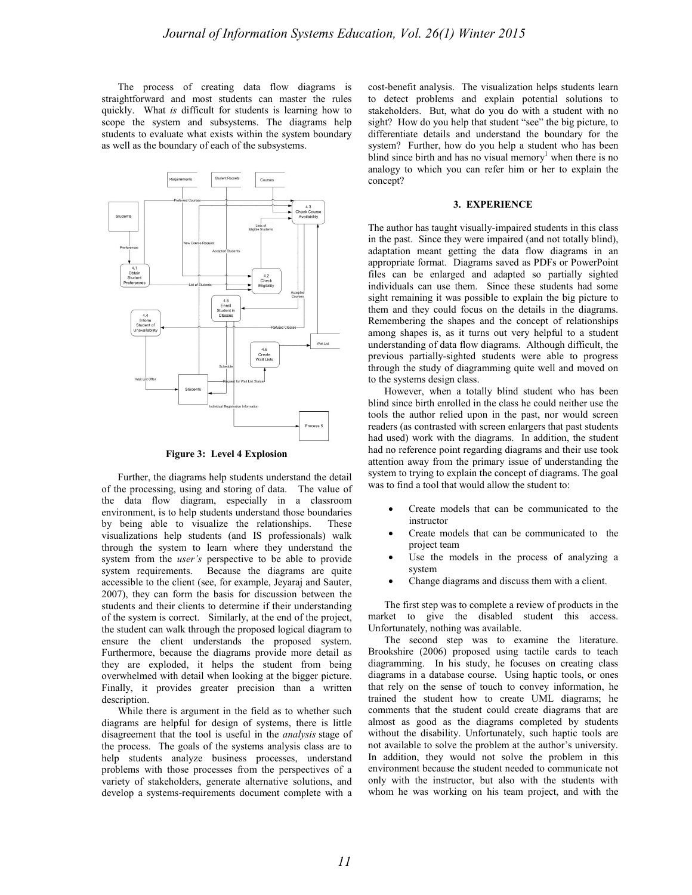The process of creating data flow diagrams is straightforward and most students can master the rules quickly. What *is* difficult for students is learning how to scope the system and subsystems. The diagrams help students to evaluate what exists within the system boundary as well as the boundary of each of the subsystems.



**Figure 3: Level 4 Explosion**

Further, the diagrams help students understand the detail of the processing, using and storing of data. The value of the data flow diagram, especially in a classroom environment, is to help students understand those boundaries by being able to visualize the relationships. These visualizations help students (and IS professionals) walk through the system to learn where they understand the system from the *user's* perspective to be able to provide system requirements. Because the diagrams are quite accessible to the client (see, for example, Jeyaraj and Sauter, 2007), they can form the basis for discussion between the students and their clients to determine if their understanding of the system is correct. Similarly, at the end of the project, the student can walk through the proposed logical diagram to ensure the client understands the proposed system. Furthermore, because the diagrams provide more detail as they are exploded, it helps the student from being overwhelmed with detail when looking at the bigger picture. Finally, it provides greater precision than a written description.

While there is argument in the field as to whether such diagrams are helpful for design of systems, there is little disagreement that the tool is useful in the *analysis* stage of the process. The goals of the systems analysis class are to help students analyze business processes, understand problems with those processes from the perspectives of a variety of stakeholders, generate alternative solutions, and develop a systems-requirements document complete with a cost-benefit analysis. The visualization helps students learn to detect problems and explain potential solutions to stakeholders. But, what do you do with a student with no sight? How do you help that student "see" the big picture, to differentiate details and understand the boundary for the system? Further, how do you help a student who has been blind since birth and has no visual memory<sup>1</sup> when there is no analogy to which you can refer him or her to explain the concept?

### **3. EXPERIENCE**

The author has taught visually-impaired students in this class in the past. Since they were impaired (and not totally blind), adaptation meant getting the data flow diagrams in an appropriate format. Diagrams saved as PDFs or PowerPoint files can be enlarged and adapted so partially sighted individuals can use them. Since these students had some sight remaining it was possible to explain the big picture to them and they could focus on the details in the diagrams. Remembering the shapes and the concept of relationships among shapes is, as it turns out very helpful to a student understanding of data flow diagrams. Although difficult, the previous partially-sighted students were able to progress through the study of diagramming quite well and moved on to the systems design class.

However, when a totally blind student who has been blind since birth enrolled in the class he could neither use the tools the author relied upon in the past, nor would screen readers (as contrasted with screen enlargers that past students had used) work with the diagrams. In addition, the student had no reference point regarding diagrams and their use took attention away from the primary issue of understanding the system to trying to explain the concept of diagrams. The goal was to find a tool that would allow the student to:

- Create models that can be communicated to the instructor
- Create models that can be communicated to the project team
- Use the models in the process of analyzing a system
- Change diagrams and discuss them with a client.

The first step was to complete a review of products in the market to give the disabled student this access. Unfortunately, nothing was available.

The second step was to examine the literature. Brookshire (2006) proposed using tactile cards to teach diagramming. In his study, he focuses on creating class diagrams in a database course. Using haptic tools, or ones that rely on the sense of touch to convey information, he trained the student how to create UML diagrams; he comments that the student could create diagrams that are almost as good as the diagrams completed by students without the disability. Unfortunately, such haptic tools are not available to solve the problem at the author's university. In addition, they would not solve the problem in this environment because the student needed to communicate not only with the instructor, but also with the students with whom he was working on his team project, and with the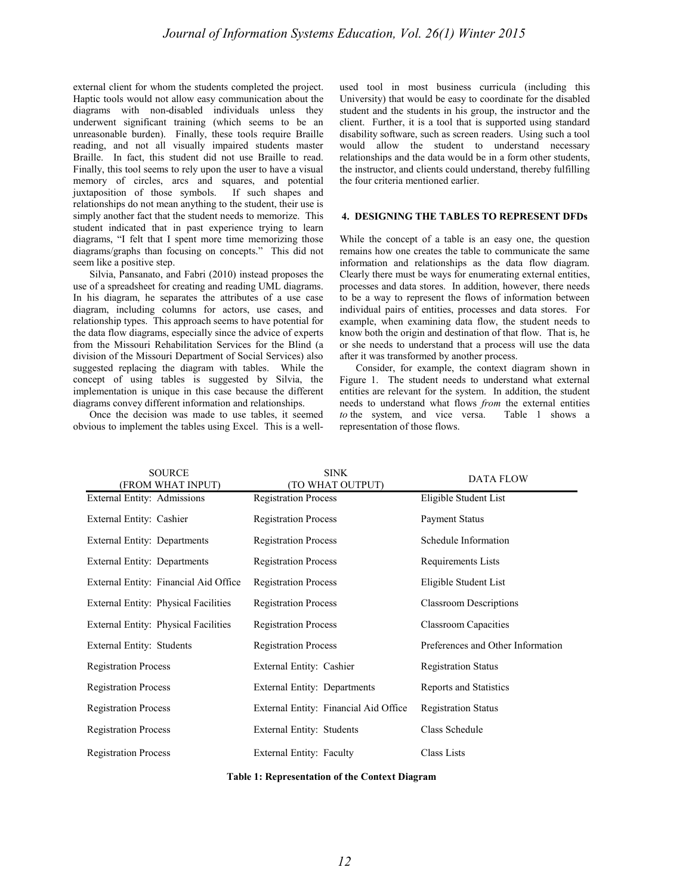external client for whom the students completed the project. Haptic tools would not allow easy communication about the diagrams with non-disabled individuals unless they underwent significant training (which seems to be an unreasonable burden). Finally, these tools require Braille reading, and not all visually impaired students master Braille. In fact, this student did not use Braille to read. Finally, this tool seems to rely upon the user to have a visual memory of circles, arcs and squares, and potential juxtaposition of those symbols. If such shapes and relationships do not mean anything to the student, their use is simply another fact that the student needs to memorize. This student indicated that in past experience trying to learn diagrams, "I felt that I spent more time memorizing those diagrams/graphs than focusing on concepts." This did not seem like a positive step.

Silvia, Pansanato, and Fabri (2010) instead proposes the use of a spreadsheet for creating and reading UML diagrams. In his diagram, he separates the attributes of a use case diagram, including columns for actors, use cases, and relationship types. This approach seems to have potential for the data flow diagrams, especially since the advice of experts from the Missouri Rehabilitation Services for the Blind (a division of the Missouri Department of Social Services) also suggested replacing the diagram with tables. While the concept of using tables is suggested by Silvia, the implementation is unique in this case because the different diagrams convey different information and relationships.

Once the decision was made to use tables, it seemed obvious to implement the tables using Excel. This is a wellused tool in most business curricula (including this University) that would be easy to coordinate for the disabled student and the students in his group, the instructor and the client. Further, it is a tool that is supported using standard disability software, such as screen readers. Using such a tool would allow the student to understand necessary relationships and the data would be in a form other students, the instructor, and clients could understand, thereby fulfilling the four criteria mentioned earlier.

# **4. DESIGNING THE TABLES TO REPRESENT DFDs**

While the concept of a table is an easy one, the question remains how one creates the table to communicate the same information and relationships as the data flow diagram. Clearly there must be ways for enumerating external entities, processes and data stores. In addition, however, there needs to be a way to represent the flows of information between individual pairs of entities, processes and data stores. For example, when examining data flow, the student needs to know both the origin and destination of that flow. That is, he or she needs to understand that a process will use the data after it was transformed by another process.

Consider, for example, the context diagram shown in Figure 1. The student needs to understand what external entities are relevant for the system. In addition, the student needs to understand what flows *from* the external entities *to* the system, and vice versa. Table 1 shows a representation of those flows.

| <b>SOURCE</b><br>(FROM WHAT INPUT)    | <b>SINK</b><br>(TO WHAT OUTPUT)       | <b>DATA FLOW</b>                  |  |  |
|---------------------------------------|---------------------------------------|-----------------------------------|--|--|
| External Entity: Admissions           | <b>Registration Process</b>           | Eligible Student List             |  |  |
| External Entity: Cashier              | <b>Registration Process</b>           | Payment Status                    |  |  |
| External Entity: Departments          | <b>Registration Process</b>           | Schedule Information              |  |  |
| External Entity: Departments          | <b>Registration Process</b>           | Requirements Lists                |  |  |
| External Entity: Financial Aid Office | <b>Registration Process</b>           | Eligible Student List             |  |  |
| External Entity: Physical Facilities  | <b>Registration Process</b>           | <b>Classroom Descriptions</b>     |  |  |
| External Entity: Physical Facilities  | <b>Registration Process</b>           | <b>Classroom Capacities</b>       |  |  |
| External Entity: Students             | <b>Registration Process</b>           | Preferences and Other Information |  |  |
| <b>Registration Process</b>           | External Entity: Cashier              | <b>Registration Status</b>        |  |  |
| <b>Registration Process</b>           | External Entity: Departments          | Reports and Statistics            |  |  |
| <b>Registration Process</b>           | External Entity: Financial Aid Office | <b>Registration Status</b>        |  |  |
| <b>Registration Process</b>           | External Entity: Students             | Class Schedule                    |  |  |
| <b>Registration Process</b>           | External Entity: Faculty              | Class Lists                       |  |  |

**Table 1: Representation of the Context Diagram**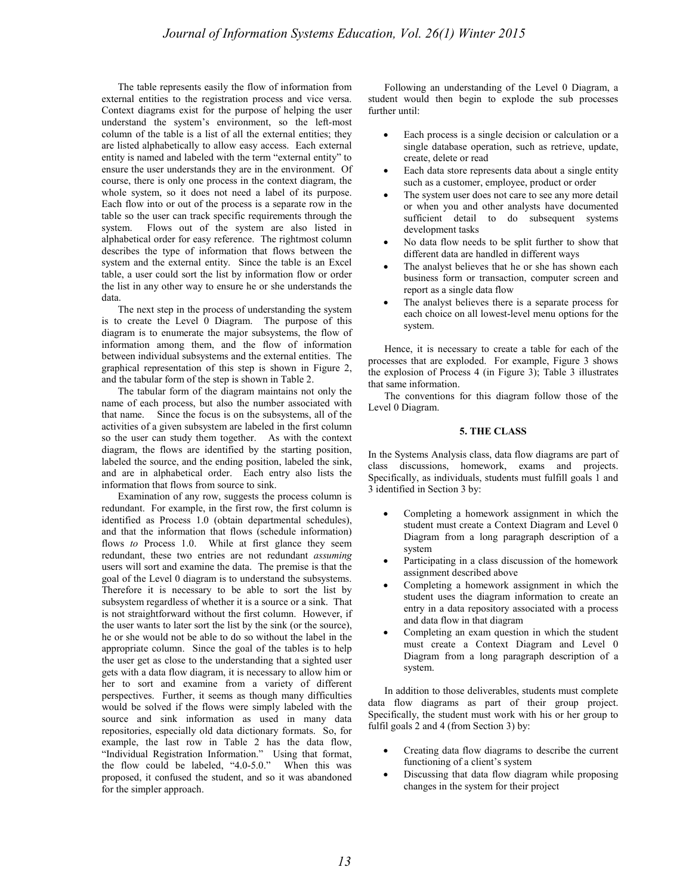The table represents easily the flow of information from external entities to the registration process and vice versa. Context diagrams exist for the purpose of helping the user understand the system's environment, so the left-most column of the table is a list of all the external entities; they are listed alphabetically to allow easy access. Each external entity is named and labeled with the term "external entity" to ensure the user understands they are in the environment. Of course, there is only one process in the context diagram, the whole system, so it does not need a label of its purpose. Each flow into or out of the process is a separate row in the table so the user can track specific requirements through the system. Flows out of the system are also listed in alphabetical order for easy reference. The rightmost column describes the type of information that flows between the system and the external entity. Since the table is an Excel table, a user could sort the list by information flow or order the list in any other way to ensure he or she understands the data.

The next step in the process of understanding the system is to create the Level 0 Diagram. The purpose of this diagram is to enumerate the major subsystems, the flow of information among them, and the flow of information between individual subsystems and the external entities. The graphical representation of this step is shown in Figure 2, and the tabular form of the step is shown in Table 2.

The tabular form of the diagram maintains not only the name of each process, but also the number associated with that name. Since the focus is on the subsystems, all of the activities of a given subsystem are labeled in the first column so the user can study them together. As with the context diagram, the flows are identified by the starting position, labeled the source, and the ending position, labeled the sink, and are in alphabetical order. Each entry also lists the information that flows from source to sink.

Examination of any row, suggests the process column is redundant. For example, in the first row, the first column is identified as Process 1.0 (obtain departmental schedules), and that the information that flows (schedule information) flows *to* Process 1.0. While at first glance they seem redundant, these two entries are not redundant *assuming*  users will sort and examine the data. The premise is that the goal of the Level 0 diagram is to understand the subsystems. Therefore it is necessary to be able to sort the list by subsystem regardless of whether it is a source or a sink. That is not straightforward without the first column. However, if the user wants to later sort the list by the sink (or the source), he or she would not be able to do so without the label in the appropriate column. Since the goal of the tables is to help the user get as close to the understanding that a sighted user gets with a data flow diagram, it is necessary to allow him or her to sort and examine from a variety of different perspectives. Further, it seems as though many difficulties would be solved if the flows were simply labeled with the source and sink information as used in many data repositories, especially old data dictionary formats. So, for example, the last row in Table 2 has the data flow, "Individual Registration Information." Using that format, the flow could be labeled, "4.0-5.0." When this was proposed, it confused the student, and so it was abandoned for the simpler approach.

Following an understanding of the Level 0 Diagram, a student would then begin to explode the sub processes further until:

- Each process is a single decision or calculation or a single database operation, such as retrieve, update, create, delete or read
- Each data store represents data about a single entity such as a customer, employee, product or order
- The system user does not care to see any more detail or when you and other analysts have documented sufficient detail to do subsequent systems development tasks
- No data flow needs to be split further to show that different data are handled in different ways
- The analyst believes that he or she has shown each business form or transaction, computer screen and report as a single data flow
- The analyst believes there is a separate process for each choice on all lowest-level menu options for the system.

Hence, it is necessary to create a table for each of the processes that are exploded. For example, Figure 3 shows the explosion of Process 4 (in Figure 3); Table 3 illustrates that same information.

The conventions for this diagram follow those of the Level 0 Diagram.

#### **5. THE CLASS**

In the Systems Analysis class, data flow diagrams are part of class discussions, homework, exams and projects. Specifically, as individuals, students must fulfill goals 1 and 3 identified in Section 3 by:

- Completing a homework assignment in which the student must create a Context Diagram and Level 0 Diagram from a long paragraph description of a system
- Participating in a class discussion of the homework assignment described above
- Completing a homework assignment in which the student uses the diagram information to create an entry in a data repository associated with a process and data flow in that diagram
- Completing an exam question in which the student must create a Context Diagram and Level 0 Diagram from a long paragraph description of a system.

In addition to those deliverables, students must complete data flow diagrams as part of their group project. Specifically, the student must work with his or her group to fulfil goals 2 and 4 (from Section 3) by:

- Creating data flow diagrams to describe the current functioning of a client's system
- Discussing that data flow diagram while proposing changes in the system for their project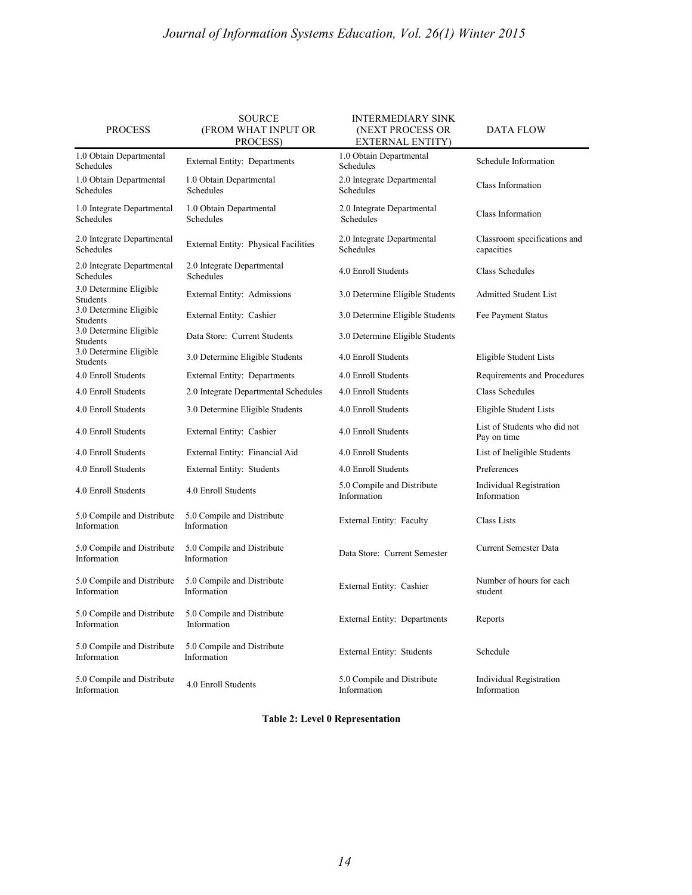# *Journal of Information Systems Education, Vol. 26(1) Winter 2015*

| <b>PROCESS</b>                            | <b>SOURCE</b><br>(FROM WHAT INPUT OR<br>PROCESS) | <b>INTERMEDIARY SINK</b><br>(NEXT PROCESS OR<br>EXTERNAL ENTITY) | DATA FLOW                                   |  |  |
|-------------------------------------------|--------------------------------------------------|------------------------------------------------------------------|---------------------------------------------|--|--|
| 1.0 Obtain Departmental<br>Schedules      | External Entity: Departments                     | 1.0 Obtain Departmental<br>Schedules                             | Schedule Information                        |  |  |
| 1.0 Obtain Departmental<br>Schedules      | 1.0 Obtain Departmental<br>Schedules             | 2.0 Integrate Departmental<br>Schedules                          | Class Information                           |  |  |
| 1.0 Integrate Departmental<br>Schedules   | 1.0 Obtain Departmental<br>Schedules             | 2.0 Integrate Departmental<br>Schedules                          | Class Information                           |  |  |
| 2.0 Integrate Departmental<br>Schedules   | External Entity: Physical Facilities             | 2.0 Integrate Departmental<br><b>Schedules</b>                   | Classroom specifications and<br>capacities  |  |  |
| 2.0 Integrate Departmental<br>Schedules   | 2.0 Integrate Departmental<br><b>Schedules</b>   | 4.0 Enroll Students                                              | <b>Class Schedules</b>                      |  |  |
| 3.0 Determine Eligible<br>Students        | External Entity: Admissions                      | 3.0 Determine Eligible Students                                  | <b>Admitted Student List</b>                |  |  |
| 3.0 Determine Eligible<br><b>Students</b> | External Entity: Cashier                         | 3.0 Determine Eligible Students                                  | Fee Payment Status                          |  |  |
| 3.0 Determine Eligible<br>Students        | Data Store: Current Students                     | 3.0 Determine Eligible Students                                  |                                             |  |  |
| 3.0 Determine Eligible<br><b>Students</b> | 3.0 Determine Eligible Students                  | 4.0 Enroll Students                                              | Eligible Student Lists                      |  |  |
| 4.0 Enroll Students                       | External Entity: Departments                     | 4.0 Enroll Students                                              | Requirements and Procedures                 |  |  |
| 4.0 Enroll Students                       | 2.0 Integrate Departmental Schedules             | 4.0 Enroll Students                                              | Class Schedules                             |  |  |
| 4.0 Enroll Students                       | 3.0 Determine Eligible Students                  | 4.0 Enroll Students                                              | Eligible Student Lists                      |  |  |
| 4.0 Enroll Students                       | External Entity: Cashier                         | 4.0 Enroll Students                                              | List of Students who did not<br>Pay on time |  |  |
| 4.0 Enroll Students                       | External Entity: Financial Aid                   | 4.0 Enroll Students                                              | List of Ineligible Students                 |  |  |
| 4.0 Enroll Students                       | External Entity: Students                        | 4.0 Enroll Students                                              | Preferences                                 |  |  |
| 4.0 Enroll Students                       | 4.0 Enroll Students                              | 5.0 Compile and Distribute<br>Information                        | Individual Registration<br>Information      |  |  |
| 5.0 Compile and Distribute<br>Information | 5.0 Compile and Distribute<br>Information        | External Entity: Faculty                                         | Class Lists                                 |  |  |
| 5.0 Compile and Distribute<br>Information | 5.0 Compile and Distribute<br>Information        | Data Store: Current Semester                                     | <b>Current Semester Data</b>                |  |  |
| 5.0 Compile and Distribute<br>Information | 5.0 Compile and Distribute<br>Information        | External Entity: Cashier                                         | Number of hours for each<br>student         |  |  |
| 5.0 Compile and Distribute<br>Information | 5.0 Compile and Distribute<br>Information        | External Entity: Departments                                     | Reports                                     |  |  |
| 5.0 Compile and Distribute<br>Information | 5.0 Compile and Distribute<br>Information        | External Entity: Students                                        | Schedule                                    |  |  |
| 5.0 Compile and Distribute<br>Information | 4.0 Enroll Students                              | 5.0 Compile and Distribute<br>Information                        | Individual Registration<br>Information      |  |  |

**Table 2: Level 0 Representation**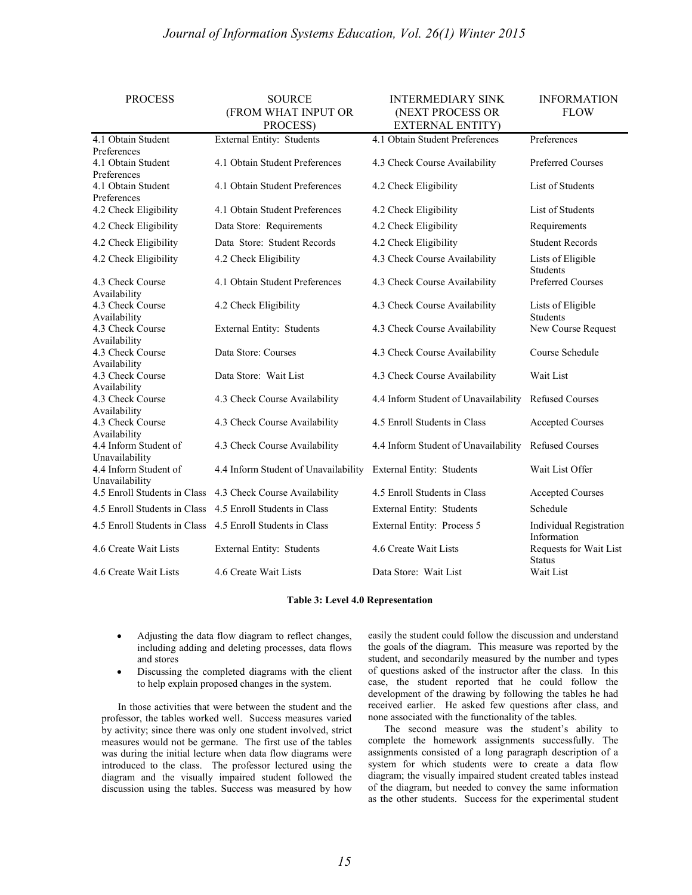# *Journal of Information Systems Education, Vol. 26(1) Winter 2015*

| <b>PROCESS</b>                                   | <b>SOURCE</b><br>(FROM WHAT INPUT OR<br>PROCESS) | <b>INTERMEDIARY SINK</b><br>(NEXT PROCESS OR<br><b>EXTERNAL ENTITY)</b> |                                               |
|--------------------------------------------------|--------------------------------------------------|-------------------------------------------------------------------------|-----------------------------------------------|
| 4.1 Obtain Student                               | <b>External Entity: Students</b>                 | 4.1 Obtain Student Preferences                                          | Preferences                                   |
| Preferences<br>4.1 Obtain Student<br>Preferences | 4.1 Obtain Student Preferences                   | 4.3 Check Course Availability                                           | <b>Preferred Courses</b>                      |
| 4.1 Obtain Student<br>Preferences                | 4.1 Obtain Student Preferences                   | 4.2 Check Eligibility                                                   | List of Students                              |
| 4.2 Check Eligibility                            | 4.1 Obtain Student Preferences                   | 4.2 Check Eligibility                                                   | List of Students                              |
| 4.2 Check Eligibility                            | Data Store: Requirements                         | 4.2 Check Eligibility                                                   | Requirements                                  |
| 4.2 Check Eligibility                            | Data Store: Student Records                      | 4.2 Check Eligibility                                                   | <b>Student Records</b>                        |
| 4.2 Check Eligibility                            | 4.2 Check Eligibility                            | 4.3 Check Course Availability                                           | Lists of Eligible<br><b>Students</b>          |
| 4.3 Check Course<br>Availability                 | 4.1 Obtain Student Preferences                   | 4.3 Check Course Availability                                           | Preferred Courses                             |
| 4.3 Check Course<br>Availability                 | 4.2 Check Eligibility                            | 4.3 Check Course Availability                                           | Lists of Eligible<br><b>Students</b>          |
| 4.3 Check Course<br>Availability                 | External Entity: Students                        | 4.3 Check Course Availability                                           | New Course Request                            |
| 4.3 Check Course<br>Availability                 | Data Store: Courses                              | 4.3 Check Course Availability                                           | Course Schedule                               |
| 4.3 Check Course<br>Availability                 | Data Store: Wait List                            | 4.3 Check Course Availability                                           | Wait List                                     |
| 4.3 Check Course<br>Availability                 | 4.3 Check Course Availability                    | 4.4 Inform Student of Unavailability                                    | <b>Refused Courses</b>                        |
| 4.3 Check Course<br>Availability                 | 4.3 Check Course Availability                    | 4.5 Enroll Students in Class                                            | <b>Accepted Courses</b>                       |
| 4.4 Inform Student of<br>Unavailability          | 4.3 Check Course Availability                    | 4.4 Inform Student of Unavailability                                    | <b>Refused Courses</b>                        |
| 4.4 Inform Student of<br>Unavailability          | 4.4 Inform Student of Unavailability             | External Entity: Students                                               | Wait List Offer                               |
| 4.5 Enroll Students in Class                     | 4.3 Check Course Availability                    | 4.5 Enroll Students in Class                                            | <b>Accepted Courses</b>                       |
| 4.5 Enroll Students in Class                     | 4.5 Enroll Students in Class                     | External Entity: Students                                               | Schedule                                      |
| 4.5 Enroll Students in Class                     | 4.5 Enroll Students in Class                     | External Entity: Process 5                                              | <b>Individual Registration</b><br>Information |
| 4.6 Create Wait Lists                            | External Entity: Students                        | 4.6 Create Wait Lists                                                   | Requests for Wait List<br><b>Status</b>       |
| 4.6 Create Wait Lists                            | 4.6 Create Wait Lists                            | Data Store: Wait List                                                   | Wait List                                     |

#### **Table 3: Level 4.0 Representation**

- Adjusting the data flow diagram to reflect changes, including adding and deleting processes, data flows and stores
- Discussing the completed diagrams with the client to help explain proposed changes in the system.

In those activities that were between the student and the professor, the tables worked well. Success measures varied by activity; since there was only one student involved, strict measures would not be germane. The first use of the tables was during the initial lecture when data flow diagrams were introduced to the class. The professor lectured using the diagram and the visually impaired student followed the discussion using the tables. Success was measured by how easily the student could follow the discussion and understand the goals of the diagram. This measure was reported by the student, and secondarily measured by the number and types of questions asked of the instructor after the class. In this case, the student reported that he could follow the development of the drawing by following the tables he had received earlier. He asked few questions after class, and none associated with the functionality of the tables.

The second measure was the student's ability to complete the homework assignments successfully. The assignments consisted of a long paragraph description of a system for which students were to create a data flow diagram; the visually impaired student created tables instead of the diagram, but needed to convey the same information as the other students. Success for the experimental student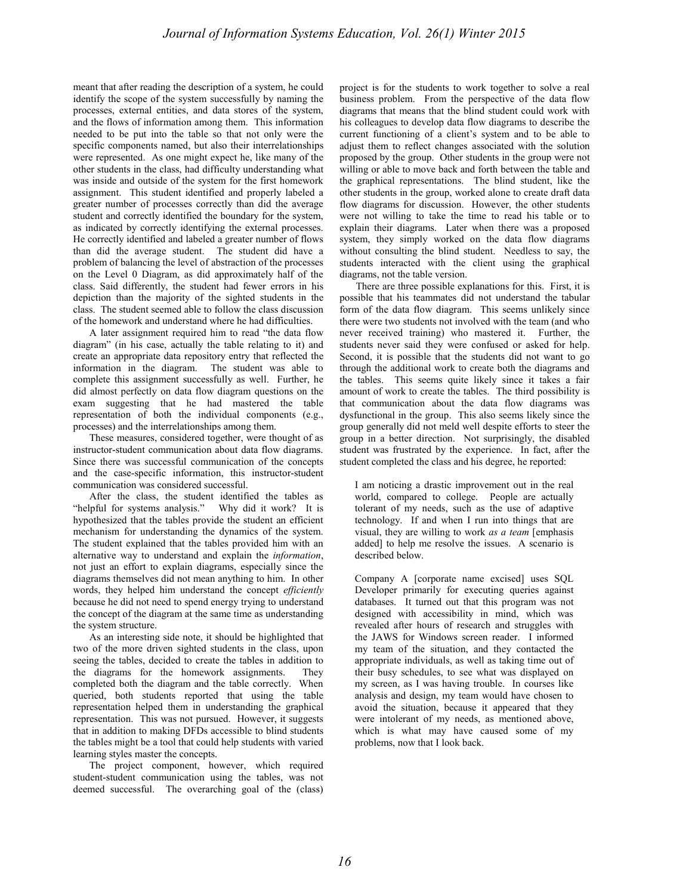meant that after reading the description of a system, he could identify the scope of the system successfully by naming the processes, external entities, and data stores of the system, and the flows of information among them. This information needed to be put into the table so that not only were the specific components named, but also their interrelationships were represented. As one might expect he, like many of the other students in the class, had difficulty understanding what was inside and outside of the system for the first homework assignment. This student identified and properly labeled a greater number of processes correctly than did the average student and correctly identified the boundary for the system, as indicated by correctly identifying the external processes. He correctly identified and labeled a greater number of flows than did the average student. The student did have a problem of balancing the level of abstraction of the processes on the Level 0 Diagram, as did approximately half of the class. Said differently, the student had fewer errors in his depiction than the majority of the sighted students in the class. The student seemed able to follow the class discussion of the homework and understand where he had difficulties.

A later assignment required him to read "the data flow diagram" (in his case, actually the table relating to it) and create an appropriate data repository entry that reflected the information in the diagram. The student was able to complete this assignment successfully as well. Further, he did almost perfectly on data flow diagram questions on the exam suggesting that he had mastered the table representation of both the individual components (e.g., processes) and the interrelationships among them.

These measures, considered together, were thought of as instructor-student communication about data flow diagrams. Since there was successful communication of the concepts and the case-specific information, this instructor-student communication was considered successful.

After the class, the student identified the tables as "helpful for systems analysis." Why did it work? It is hypothesized that the tables provide the student an efficient mechanism for understanding the dynamics of the system. The student explained that the tables provided him with an alternative way to understand and explain the *information*, not just an effort to explain diagrams, especially since the diagrams themselves did not mean anything to him. In other words, they helped him understand the concept *efficiently* because he did not need to spend energy trying to understand the concept of the diagram at the same time as understanding the system structure.

As an interesting side note, it should be highlighted that two of the more driven sighted students in the class, upon seeing the tables, decided to create the tables in addition to the diagrams for the homework assignments. They completed both the diagram and the table correctly. When queried, both students reported that using the table representation helped them in understanding the graphical representation. This was not pursued. However, it suggests that in addition to making DFDs accessible to blind students the tables might be a tool that could help students with varied learning styles master the concepts.

The project component, however, which required student-student communication using the tables, was not deemed successful. The overarching goal of the (class) project is for the students to work together to solve a real business problem. From the perspective of the data flow diagrams that means that the blind student could work with his colleagues to develop data flow diagrams to describe the current functioning of a client's system and to be able to adjust them to reflect changes associated with the solution proposed by the group. Other students in the group were not willing or able to move back and forth between the table and the graphical representations. The blind student, like the other students in the group, worked alone to create draft data flow diagrams for discussion. However, the other students were not willing to take the time to read his table or to explain their diagrams. Later when there was a proposed system, they simply worked on the data flow diagrams without consulting the blind student. Needless to say, the students interacted with the client using the graphical diagrams, not the table version.

There are three possible explanations for this. First, it is possible that his teammates did not understand the tabular form of the data flow diagram. This seems unlikely since there were two students not involved with the team (and who never received training) who mastered it. Further, the students never said they were confused or asked for help. Second, it is possible that the students did not want to go through the additional work to create both the diagrams and the tables. This seems quite likely since it takes a fair amount of work to create the tables. The third possibility is that communication about the data flow diagrams was dysfunctional in the group. This also seems likely since the group generally did not meld well despite efforts to steer the group in a better direction. Not surprisingly, the disabled student was frustrated by the experience. In fact, after the student completed the class and his degree, he reported:

I am noticing a drastic improvement out in the real world, compared to college. People are actually tolerant of my needs, such as the use of adaptive technology. If and when I run into things that are visual, they are willing to work *as a team* [emphasis added] to help me resolve the issues. A scenario is described below.

Company A [corporate name excised] uses SQL Developer primarily for executing queries against databases. It turned out that this program was not designed with accessibility in mind, which was revealed after hours of research and struggles with the JAWS for Windows screen reader. I informed my team of the situation, and they contacted the appropriate individuals, as well as taking time out of their busy schedules, to see what was displayed on my screen, as I was having trouble. In courses like analysis and design, my team would have chosen to avoid the situation, because it appeared that they were intolerant of my needs, as mentioned above, which is what may have caused some of my problems, now that I look back.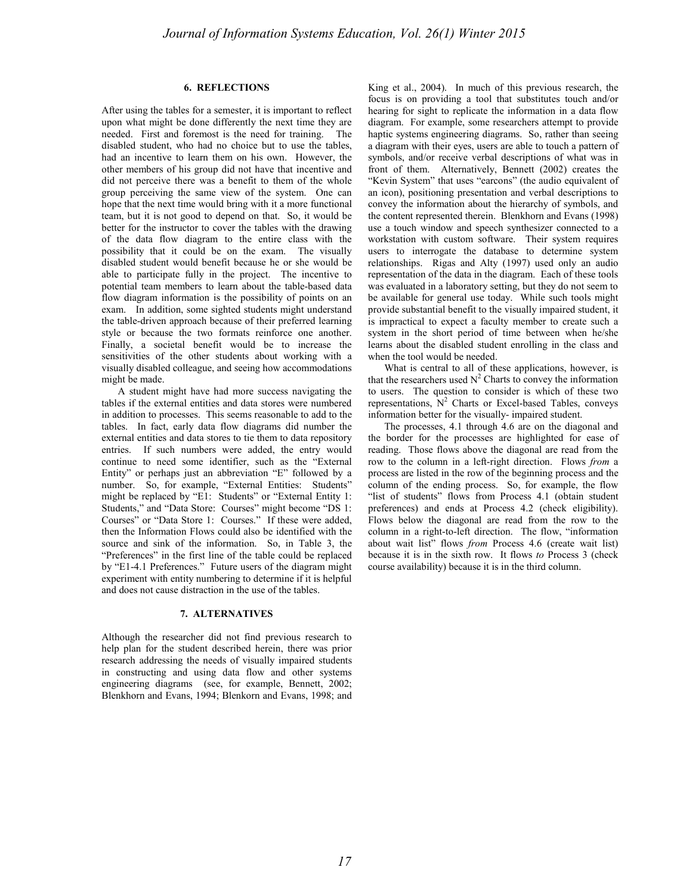# **6. REFLECTIONS**

After using the tables for a semester, it is important to reflect upon what might be done differently the next time they are needed. First and foremost is the need for training. The disabled student, who had no choice but to use the tables, had an incentive to learn them on his own. However, the other members of his group did not have that incentive and did not perceive there was a benefit to them of the whole group perceiving the same view of the system. One can hope that the next time would bring with it a more functional team, but it is not good to depend on that. So, it would be better for the instructor to cover the tables with the drawing of the data flow diagram to the entire class with the possibility that it could be on the exam. The visually disabled student would benefit because he or she would be able to participate fully in the project. The incentive to potential team members to learn about the table-based data flow diagram information is the possibility of points on an exam. In addition, some sighted students might understand the table-driven approach because of their preferred learning style or because the two formats reinforce one another. Finally, a societal benefit would be to increase the sensitivities of the other students about working with a visually disabled colleague, and seeing how accommodations might be made.

A student might have had more success navigating the tables if the external entities and data stores were numbered in addition to processes. This seems reasonable to add to the tables. In fact, early data flow diagrams did number the external entities and data stores to tie them to data repository entries. If such numbers were added, the entry would continue to need some identifier, such as the "External Entity" or perhaps just an abbreviation "E" followed by a number. So, for example, "External Entities: Students" might be replaced by "E1: Students" or "External Entity 1: Students," and "Data Store: Courses" might become "DS 1: Courses" or "Data Store 1: Courses." If these were added, then the Information Flows could also be identified with the source and sink of the information. So, in Table 3, the "Preferences" in the first line of the table could be replaced by "E1-4.1 Preferences." Future users of the diagram might experiment with entity numbering to determine if it is helpful and does not cause distraction in the use of the tables.

# **7. ALTERNATIVES**

Although the researcher did not find previous research to help plan for the student described herein, there was prior research addressing the needs of visually impaired students in constructing and using data flow and other systems engineering diagrams (see, for example, Bennett, 2002; Blenkhorn and Evans, 1994; Blenkorn and Evans, 1998; and King et al., 2004). In much of this previous research, the focus is on providing a tool that substitutes touch and/or hearing for sight to replicate the information in a data flow diagram. For example, some researchers attempt to provide haptic systems engineering diagrams. So, rather than seeing a diagram with their eyes, users are able to touch a pattern of symbols, and/or receive verbal descriptions of what was in front of them. Alternatively, Bennett (2002) creates the "Kevin System" that uses "earcons" (the audio equivalent of an icon), positioning presentation and verbal descriptions to convey the information about the hierarchy of symbols, and the content represented therein. Blenkhorn and Evans (1998) use a touch window and speech synthesizer connected to a workstation with custom software. Their system requires users to interrogate the database to determine system relationships. Rigas and Alty (1997) used only an audio representation of the data in the diagram. Each of these tools was evaluated in a laboratory setting, but they do not seem to be available for general use today. While such tools might provide substantial benefit to the visually impaired student, it is impractical to expect a faculty member to create such a system in the short period of time between when he/she learns about the disabled student enrolling in the class and when the tool would be needed.

What is central to all of these applications, however, is that the researchers used  $N^2$  Charts to convey the information to users. The question to consider is which of these two representations,  $N^2$  Charts or Excel-based Tables, conveys information better for the visually- impaired student.

The processes, 4.1 through 4.6 are on the diagonal and the border for the processes are highlighted for ease of reading. Those flows above the diagonal are read from the row to the column in a left-right direction. Flows *from* a process are listed in the row of the beginning process and the column of the ending process. So, for example, the flow "list of students" flows from Process 4.1 (obtain student preferences) and ends at Process 4.2 (check eligibility). Flows below the diagonal are read from the row to the column in a right-to-left direction. The flow, "information about wait list" flows *from* Process 4.6 (create wait list) because it is in the sixth row. It flows *to* Process 3 (check course availability) because it is in the third column.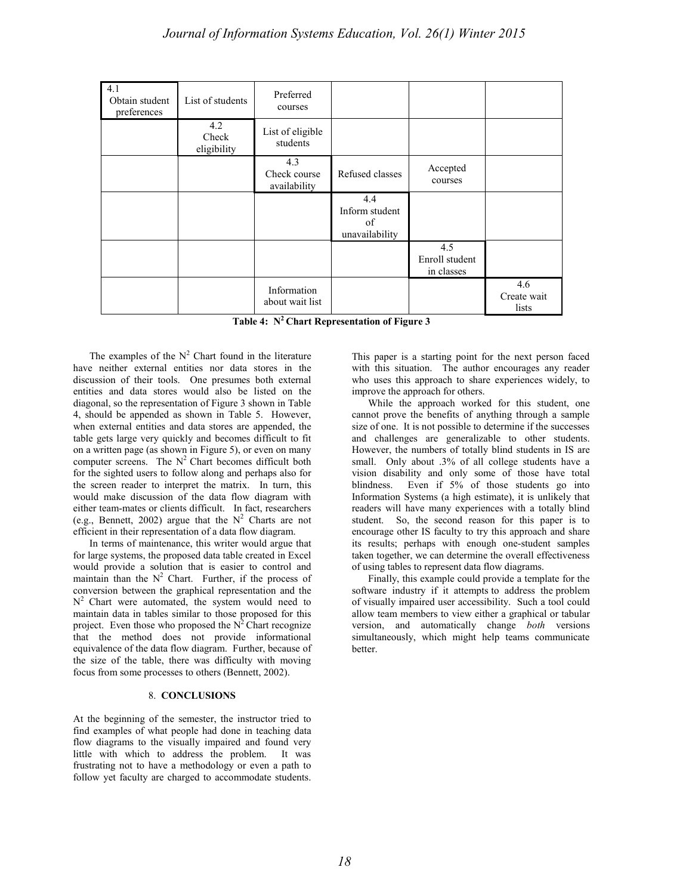| 4.1<br>Obtain student<br>preferences | List of students            | Preferred<br>courses                |                                               |                                     |                             |
|--------------------------------------|-----------------------------|-------------------------------------|-----------------------------------------------|-------------------------------------|-----------------------------|
|                                      | 4.2<br>Check<br>eligibility | List of eligible<br>students        |                                               |                                     |                             |
|                                      |                             | 4.3<br>Check course<br>availability | Refused classes                               | Accepted<br>courses                 |                             |
|                                      |                             |                                     | 4.4<br>Inform student<br>of<br>unavailability |                                     |                             |
|                                      |                             |                                     |                                               | 4.5<br>Enroll student<br>in classes |                             |
|                                      |                             | Information<br>about wait list      |                                               |                                     | 4.6<br>Create wait<br>lists |

**Table 4: N2 Chart Representation of Figure 3**

The examples of the  $N^2$  Chart found in the literature have neither external entities nor data stores in the discussion of their tools. One presumes both external entities and data stores would also be listed on the diagonal, so the representation of Figure 3 shown in Table 4, should be appended as shown in Table 5. However, when external entities and data stores are appended, the table gets large very quickly and becomes difficult to fit on a written page (as shown in Figure 5), or even on many computer screens. The  $N^2$  Chart becomes difficult both for the sighted users to follow along and perhaps also for the screen reader to interpret the matrix. In turn, this would make discussion of the data flow diagram with either team-mates or clients difficult. In fact, researchers (e.g., Bennett, 2002) argue that the  $N^2$  Charts are not efficient in their representation of a data flow diagram.

In terms of maintenance, this writer would argue that for large systems, the proposed data table created in Excel would provide a solution that is easier to control and maintain than the  $N^2$  Chart. Further, if the process of conversion between the graphical representation and the  $N^2$  Chart were automated, the system would need to maintain data in tables similar to those proposed for this project. Even those who proposed the  $N^2$  Chart recognize that the method does not provide informational equivalence of the data flow diagram. Further, because of the size of the table, there was difficulty with moving focus from some processes to others (Bennett, 2002).

# 8. **CONCLUSIONS**

At the beginning of the semester, the instructor tried to find examples of what people had done in teaching data flow diagrams to the visually impaired and found very little with which to address the problem. It was frustrating not to have a methodology or even a path to follow yet faculty are charged to accommodate students. This paper is a starting point for the next person faced with this situation. The author encourages any reader who uses this approach to share experiences widely, to improve the approach for others.

While the approach worked for this student, one cannot prove the benefits of anything through a sample size of one. It is not possible to determine if the successes and challenges are generalizable to other students. However, the numbers of totally blind students in IS are small. Only about .3% of all college students have a vision disability and only some of those have total blindness. Even if 5% of those students go into Information Systems (a high estimate), it is unlikely that readers will have many experiences with a totally blind student. So, the second reason for this paper is to encourage other IS faculty to try this approach and share its results; perhaps with enough one-student samples taken together, we can determine the overall effectiveness of using tables to represent data flow diagrams.

Finally, this example could provide a template for the software industry if it attempts to address the problem of visually impaired user accessibility. Such a tool could allow team members to view either a graphical or tabular version, and automatically change *both* versions simultaneously, which might help teams communicate better.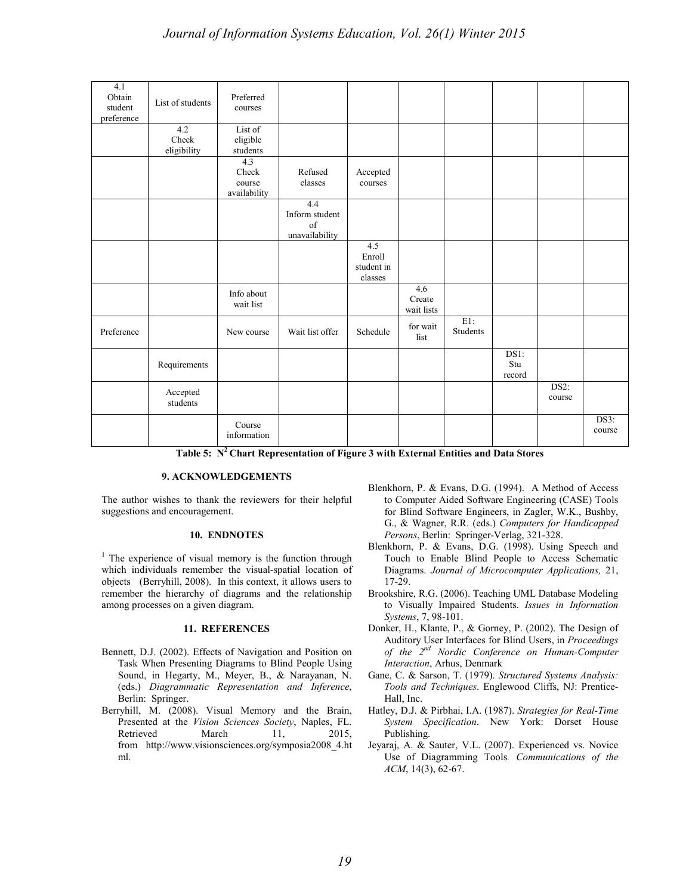| 4.1<br>Obtain<br>student<br>preference | List of students            | Preferred<br>courses                             |                                                                             |                                        |                                                  |                    |                                      |                |                |
|----------------------------------------|-----------------------------|--------------------------------------------------|-----------------------------------------------------------------------------|----------------------------------------|--------------------------------------------------|--------------------|--------------------------------------|----------------|----------------|
|                                        | 4.2<br>Check<br>eligibility | List of<br>eligible<br>students                  |                                                                             |                                        |                                                  |                    |                                      |                |                |
|                                        |                             | 4.3<br>Check<br>course<br>availability           | Refused<br>classes                                                          | Accepted<br>courses                    |                                                  |                    |                                      |                |                |
|                                        |                             |                                                  | 4.4<br>Inform student<br>of<br>unavailability                               |                                        |                                                  |                    |                                      |                |                |
|                                        |                             |                                                  |                                                                             | 4.5<br>Enroll<br>student in<br>classes |                                                  |                    |                                      |                |                |
|                                        |                             | Info about<br>wait list                          |                                                                             |                                        | 4.6<br>Create<br>wait lists                      |                    |                                      |                |                |
| Preference                             |                             | New course                                       | Wait list offer                                                             | Schedule                               | for wait<br>list                                 | $E1$ :<br>Students |                                      |                |                |
|                                        | Requirements                |                                                  |                                                                             |                                        |                                                  |                    | DS1:<br>Stu<br>record                |                |                |
|                                        | Accepted<br>students        |                                                  |                                                                             |                                        |                                                  |                    |                                      | DS2:<br>course |                |
|                                        |                             | Course<br>information<br>$T = 11.5$ $T^2$ $C1.1$ | <b>Contract Contract Contract Contract</b><br>$\mathbf{c}$ and $\mathbf{c}$ |                                        | $\sim$ $\sim$ $\sim$ $\sim$ $\sim$ $\sim$ $\sim$ |                    | $\mathbf{I} \mathbf{D}$ $\mathbf{A}$ |                | DS3:<br>course |

**Table 5: N2 Chart Representation of Figure 3 with External Entities and Data Stores**

# **9. ACKNOWLEDGEMENTS**

The author wishes to thank the reviewers for their helpful suggestions and encouragement.

# **10. ENDNOTES**

<sup>1</sup> The experience of visual memory is the function through which individuals remember the visual-spatial location of objects (Berryhill, 2008). In this context, it allows users to remember the hierarchy of diagrams and the relationship among processes on a given diagram.

# **11. REFERENCES**

- Bennett, D.J. (2002). Effects of Navigation and Position on Task When Presenting Diagrams to Blind People Using Sound, in Hegarty, M., Meyer, B., & Narayanan, N. (eds.) *Diagrammatic Representation and Inference*, Berlin: Springer.
- Berryhill, M. (2008). Visual Memory and the Brain, Presented at the *Vision Sciences Society*, Naples, FL. Retrieved March 11, 2015, from [http://www.visionsciences.org/symposia2008\\_4.ht](http://www.visionsciences.org/symposia2008_4.html) [ml.](http://www.visionsciences.org/symposia2008_4.html)
- Blenkhorn, P. & Evans, D.G. (1994). A Method of Access to Computer Aided Software Engineering (CASE) Tools for Blind Software Engineers, in Zagler, W.K., Bushby, G., & Wagner, R.R. (eds.) *Computers for Handicapped Persons*, Berlin: Springer-Verlag, 321-328.
- Blenkhorn, P. & Evans, D.G. (1998). Using Speech and Touch to Enable Blind People to Access Schematic Diagrams. *Journal of Microcomputer Applications,* 21, 17-29.
- Brookshire, R.G. (2006). Teaching UML Database Modeling to Visually Impaired Students. *Issues in Information Systems*, 7, 98-101.
- Donker, H., Klante, P., & Gorney, P. (2002). The Design of Auditory User Interfaces for Blind Users, in *Proceedings of the 2nd Nordic Conference on Human-Computer Interaction*, Arhus, Denmark
- Gane, C. & Sarson, T. (1979). *Structured Systems Analysis: Tools and Techniques*. Englewood Cliffs, NJ: Prentice-Hall, Inc.
- Hatley, D.J. & Pirbhai, I.A. (1987). *Strategies for Real-Time System Specification*. New York: Dorset House Publishing.
- Jeyaraj, A. & Sauter, V.L. (2007). Experienced vs. Novice Use of Diagramming Tools*. Communications of the ACM*, 14(3), 62-67.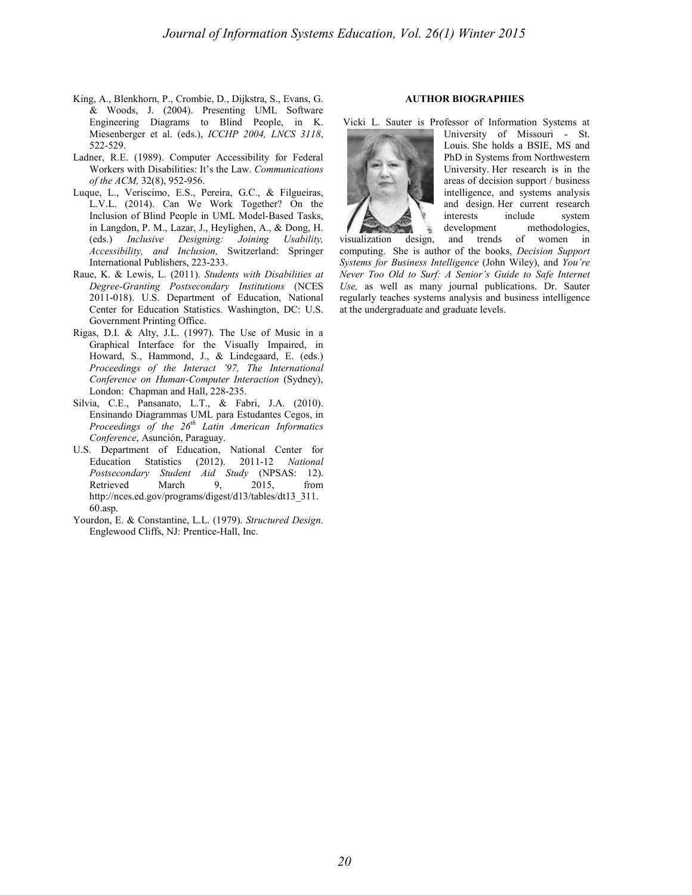- King, A., Blenkhorn, P., Crombie, D., Dijkstra, S., Evans, G. & Woods, J. (2004). Presenting UML Software Engineering Diagrams to Blind People, in K. Miesenberger et al. (eds.), *ICCHP 2004, LNCS 3118*, 522-529.
- Ladner, R.E. (1989). Computer Accessibility for Federal Workers with Disabilities: It's the Law. *Communications of the ACM,* 32(8), 952-956.
- Luque, L., Veriscimo, E.S., Pereira, G.C., & Filgueiras, L.V.L. (2014). Can We Work Together? On the Inclusion of Blind People in UML Model-Based Tasks, in Langdon, P. M., Lazar, J., Heylighen, A., & Dong, H. (eds.) *Inclusive Designing: Joining Usability, Accessibility, and Inclusion,* Switzerland: Springer International Publishers, 223-233.
- Raue, K. & Lewis, L. (2011). *Students with Disabilities at Degree-Granting Postsecondary Institutions* (NCES 2011-018). U.S. Department of Education, National Center for Education Statistics. Washington, DC: U.S. Government Printing Office.
- Rigas, D.I. & Alty, J.L. (1997). The Use of Music in a Graphical Interface for the Visually Impaired, in Howard, S., Hammond, J., & Lindegaard, E. (eds.) *Proceedings of the Interact '97, The International Conference on Human-Computer Interaction* (Sydney), London: Chapman and Hall, 228-235.
- Silvia, C.E., Pansanato, L.T., & Fabri, J.A. (2010). Ensinando Diagrammas UML para Estudantes Cegos, in *Proceedings of the 26th Latin American Informatics Conference*, Asunción, Paraguay.
- U.S. Department of Education, National Center for Education Statistics (2012). 2011-12 *National Postsecondary Student Aid Study* (NPSAS: 12). Retrieved March 9, 2015, from http://nces.ed.gov/programs/digest/d13/tables/dt13\_311. 60.asp.
- Yourdon, E. & Constantine, L.L. (1979). *Structured Design.*  Englewood Cliffs, NJ: Prentice-Hall, Inc.

# **AUTHOR BIOGRAPHIES**

Vicki L. Sauter is Professor of Information Systems at



University of Missouri - St. Louis. She holds a BSIE, MS and PhD in Systems from Northwestern University. Her research is in the areas of decision support / business intelligence, and systems analysis and design. Her current research interests include system development methodologies, visualization design, and trends of women in

computing. She is author of the books, *Decision Support Systems for Business Intelligence* (John Wiley), and *You're Never Too Old to Surf: A Senior's Guide to Safe Internet Use,* as well as many journal publications. Dr. Sauter regularly teaches systems analysis and business intelligence at the undergraduate and graduate levels.